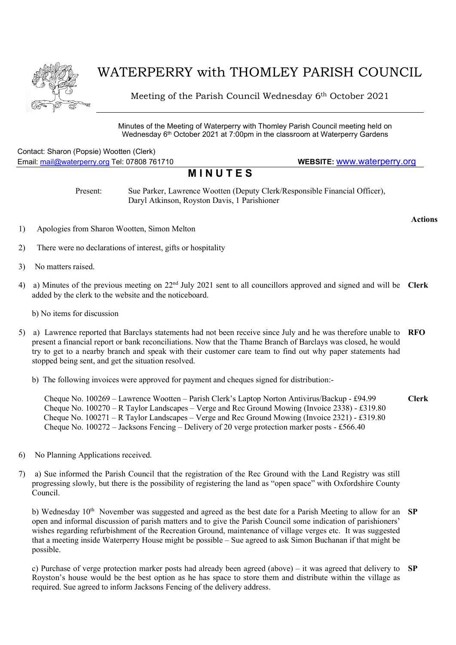

## WATERPERRY with THOMLEY PARISH COUNCIL

Meeting of the Parish Council Wednesday 6th October 2021

Minutes of the Meeting of Waterperry with Thomley Parish Council meeting held on Wednesday 6th October 2021 at 7:00pm in the classroom at Waterperry Gardens

Contact: Sharon (Popsie) Wootten (Clerk) Email: mail@waterperry.org Tel: 07808 761710 WEBSITE: www.waterperry.org

## **MINUTES**

Present: Sue Parker, Lawrence Wootten (Deputy Clerk/Responsible Financial Officer), Daryl Atkinson, Royston Davis, 1 Parishioner

Actions

- 1) Apologies from Sharon Wootten, Simon Melton
- 2) There were no declarations of interest, gifts or hospitality
- 3) No matters raised.
- 4) a) Minutes of the previous meeting on  $22<sup>nd</sup>$  July 2021 sent to all councillors approved and signed and will be Clerk added by the clerk to the website and the noticeboard.

b) No items for discussion

- 5) a) Lawrence reported that Barclays statements had not been receive since July and he was therefore unable to RFO present a financial report or bank reconciliations. Now that the Thame Branch of Barclays was closed, he would try to get to a nearby branch and speak with their customer care team to find out why paper statements had stopped being sent, and get the situation resolved.
	- b) The following invoices were approved for payment and cheques signed for distribution:-

 Cheque No. 100269 – Lawrence Wootten – Parish Clerk's Laptop Norton Antivirus/Backup - £94.99 Cheque No. 100270 – R Taylor Landscapes – Verge and Rec Ground Mowing (Invoice 2338) - £319.80 Cheque No. 100271 – R Taylor Landscapes – Verge and Rec Ground Mowing (Invoice 2321) - £319.80 Cheque No. 100272 – Jacksons Fencing – Delivery of 20 verge protection marker posts - £566.40 Clerk

- 6) No Planning Applications received.
- 7) a) Sue informed the Parish Council that the registration of the Rec Ground with the Land Registry was still progressing slowly, but there is the possibility of registering the land as "open space" with Oxfordshire County Council.

b) Wednesday 10<sup>th</sup> November was suggested and agreed as the best date for a Parish Meeting to allow for an SP open and informal discussion of parish matters and to give the Parish Council some indication of parishioners' wishes regarding refurbishment of the Recreation Ground, maintenance of village verges etc. It was suggested that a meeting inside Waterperry House might be possible – Sue agreed to ask Simon Buchanan if that might be possible.

c) Purchase of verge protection marker posts had already been agreed (above) – it was agreed that delivery to  $SP$ Royston's house would be the best option as he has space to store them and distribute within the village as required. Sue agreed to inform Jacksons Fencing of the delivery address.